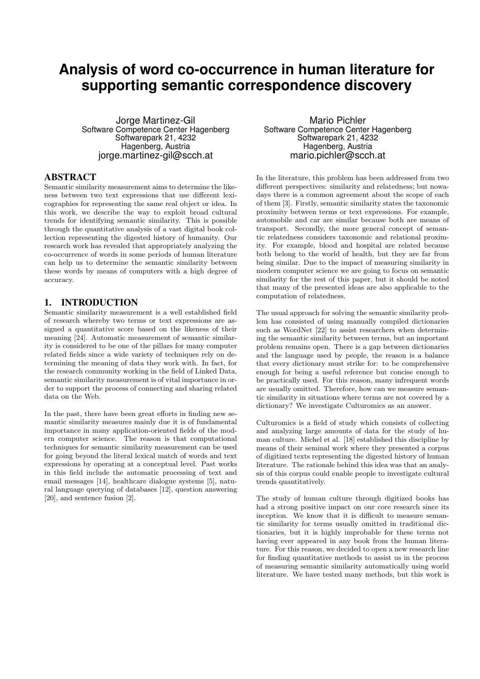# **Analysis of word co-occurrence in human literature for supporting semantic correspondence discovery**

Jorge Martinez-Gil Software Competence Center Hagenberg Softwarepark 21, 4232 Hagenberg, Austria jorge.martinez-gil@scch.at

## **ABSTRACT**

Semantic similarity measurement aims to determine the likeness between two text expressions that use different lexicographies for representing the same real object or idea. In this work, we describe the way to exploit broad cultural trends for identifying semantic similarity. This is possible through the quantitative analysis of a vast digital book collection representing the digested history of humanity. Our research work has revealed that appropriately analyzing the co-occurrence of words in some periods of human literature can help us to determine the semantic similarity between these words by means of computers with a high degree of accuracy.

### 1. INTRODUCTION

Semantic similarity measurement is a well established field of research whereby two terms or text expressions are assigned a quantitative score based on the likeness of their meaning [24]. Automatic measurement of semantic similarity is considered to be one of the pillars for many computer related fields since a wide variety of techniques rely on determining the meaning of data they work with. In fact, for the research community working in the field of Linked Data, semantic similarity measurement is of vital importance in order to support the process of connecting and sharing related data on the Web.

In the past, there have been great efforts in finding new semantic similarity measures mainly due it is of fundamental importance in many application-oriented fields of the modern computer science. The reason is that computational techniques for semantic similarity measurement can be used for going beyond the literal lexical match of words and text expressions by operating at a conceptual level. Past works in this field include the automatic processing of text and email messages [14], healthcare dialogue systems [5], natural language querying of databases [12], question answering [20], and sentence fusion [2].

Mario Pichler Software Competence Center Hagenberg Softwarepark 21, 4232 Hagenberg, Austria mario.pichler@scch.at

In the literature, this problem has been addressed from two different perspectives: similarity and relatedness; but nowadays there is a common agreement about the scope of each of them [3]. Firstly, semantic similarity states the taxonomic proximity between terms or text expressions. For example, automobile and car are similar because both are means of transport. Secondly, the more general concept of semantic relatedness considers taxonomic and relational proximity. For example, blood and hospital are related because both belong to the world of health, but they are far from being similar. Due to the impact of measuring similarity in modern computer science we are going to focus on semantic similarity for the rest of this paper, but it should be noted that many of the presented ideas are also applicable to the computation of relatedness.

The usual approach for solving the semantic similarity problem has consisted of using manually compiled dictionaries such as WordNet [22] to assist researchers when determining the semantic similarity between terms, but an important problem remains open. There is a gap between dictionaries and the language used by people, the reason is a balance that every dictionary must strike for: to be comprehensive enough for being a useful reference but concise enough to be practically used. For this reason, many infrequent words are usually omitted. Therefore, how can we measure semantic similarity in situations where terms are not covered by a dictionary? We investigate Culturomics as an answer.

Culturomics is a field of study which consists of collecting and analyzing large amounts of data for the study of human culture. Michel et al. [18] established this discipline by means of their seminal work where they presented a corpus of digitized texts representing the digested history of human literature. The rationale behind this idea was that an analysis of this corpus could enable people to investigate cultural trends quantitatively.

The study of human culture through digitized books has had a strong positive impact on our core research since its inception. We know that it is difficult to measure semantic similarity for terms usually omitted in traditional dictionaries, but it is highly improbable for these terms not having ever appeared in any book from the human literature. For this reason, we decided to open a new research line for finding quantitative methods to assist us in the process of measuring semantic similarity automatically using world literature. We have tested many methods, but this work is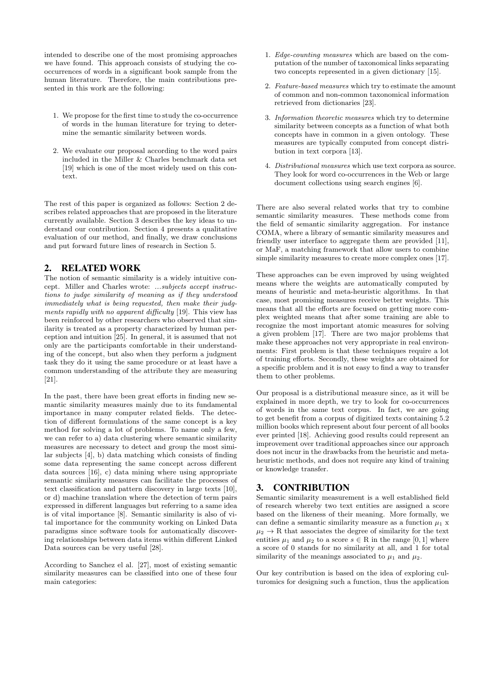intended to describe one of the most promising approaches we have found. This approach consists of studying the cooccurrences of words in a significant book sample from the human literature. Therefore, the main contributions presented in this work are the following:

- 1. We propose for the first time to study the co-occurrence of words in the human literature for trying to determine the semantic similarity between words.
- 2. We evaluate our proposal according to the word pairs included in the Miller & Charles benchmark data set [19] which is one of the most widely used on this context.

The rest of this paper is organized as follows: Section 2 describes related approaches that are proposed in the literature currently available. Section 3 describes the key ideas to understand our contribution. Section 4 presents a qualitative evaluation of our method, and finally, we draw conclusions and put forward future lines of research in Section 5.

# 2. RELATED WORK

The notion of semantic similarity is a widely intuitive concept. Miller and Charles wrote: ...subjects accept instructions to judge similarity of meaning as if they understood immediately what is being requested, then make their judgments rapidly with no apparent difficulty [19]. This view has been reinforced by other researchers who observed that similarity is treated as a property characterized by human perception and intuition [25]. In general, it is assumed that not only are the participants comfortable in their understanding of the concept, but also when they perform a judgment task they do it using the same procedure or at least have a common understanding of the attribute they are measuring [21].

In the past, there have been great efforts in finding new semantic similarity measures mainly due to its fundamental importance in many computer related fields. The detection of different formulations of the same concept is a key method for solving a lot of problems. To name only a few, we can refer to a) data clustering where semantic similarity measures are necessary to detect and group the most similar subjects [4], b) data matching which consists of finding some data representing the same concept across different data sources [16], c) data mining where using appropriate semantic similarity measures can facilitate the processes of text classification and pattern discovery in large texts [10], or d) machine translation where the detection of term pairs expressed in different languages but referring to a same idea is of vital importance [8]. Semantic similarity is also of vital importance for the community working on Linked Data paradigms since software tools for automatically discovering relationships between data items within different Linked Data sources can be very useful [28].

According to Sanchez el al. [27], most of existing semantic similarity measures can be classified into one of these four main categories:

- 1. Edge-counting measures which are based on the computation of the number of taxonomical links separating two concepts represented in a given dictionary [15].
- 2. Feature-based measures which try to estimate the amount of common and non-common taxonomical information retrieved from dictionaries [23].
- 3. Information theoretic measures which try to determine similarity between concepts as a function of what both concepts have in common in a given ontology. These measures are typically computed from concept distribution in text corpora [13].
- 4. Distributional measures which use text corpora as source. They look for word co-occurrences in the Web or large document collections using search engines [6].

There are also several related works that try to combine semantic similarity measures. These methods come from the field of semantic similarity aggregation. For instance COMA, where a library of semantic similarity measures and friendly user interface to aggregate them are provided [11], or MaF, a matching framework that allow users to combine simple similarity measures to create more complex ones [17].

These approaches can be even improved by using weighted means where the weights are automatically computed by means of heuristic and meta-heuristic algorithms. In that case, most promising measures receive better weights. This means that all the efforts are focused on getting more complex weighted means that after some training are able to recognize the most important atomic measures for solving a given problem [17]. There are two major problems that make these approaches not very appropriate in real environments: First problem is that these techniques require a lot of training efforts. Secondly, these weights are obtained for a specific problem and it is not easy to find a way to transfer them to other problems.

Our proposal is a distributional measure since, as it will be explained in more depth, we try to look for co-occurrences of words in the same text corpus. In fact, we are going to get benefit from a corpus of digitized texts containing 5.2 million books which represent about four percent of all books ever printed [18]. Achieving good results could represent an improvement over traditional approaches since our approach does not incur in the drawbacks from the heuristic and metaheuristic methods, and does not require any kind of training or knowledge transfer.

## 3. CONTRIBUTION

Semantic similarity measurement is a well established field of research whereby two text entities are assigned a score based on the likeness of their meaning. More formally, we can define a semantic similarity measure as a function  $\mu_1$  x  $\mu_2 \rightarrow R$  that associates the degree of similarity for the text entities  $\mu_1$  and  $\mu_2$  to a score  $s \in \mathbb{R}$  in the range [0, 1] where a score of 0 stands for no similarity at all, and 1 for total similarity of the meanings associated to  $\mu_1$  and  $\mu_2$ .

Our key contribution is based on the idea of exploring culturomics for designing such a function, thus the application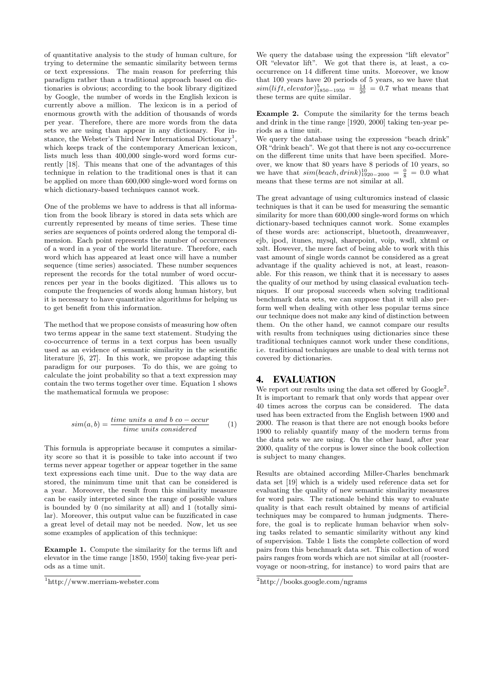of quantitative analysis to the study of human culture, for trying to determine the semantic similarity between terms or text expressions. The main reason for preferring this paradigm rather than a traditional approach based on dictionaries is obvious; according to the book library digitized by Google, the number of words in the English lexicon is currently above a million. The lexicon is in a period of enormous growth with the addition of thousands of words per year. Therefore, there are more words from the data sets we are using than appear in any dictionary. For instance, the Webster's Third New International Dictionary<sup>1</sup>, which keeps track of the contemporary American lexicon, lists much less than 400,000 single-word word forms currently [18]. This means that one of the advantages of this technique in relation to the traditional ones is that it can be applied on more than 600,000 single-word word forms on which dictionary-based techniques cannot work.

One of the problems we have to address is that all information from the book library is stored in data sets which are currently represented by means of time series. These time series are sequences of points ordered along the temporal dimension. Each point represents the number of occurrences of a word in a year of the world literature. Therefore, each word which has appeared at least once will have a number sequence (time series) associated. These number sequences represent the records for the total number of word occurrences per year in the books digitized. This allows us to compute the frequencies of words along human history, but it is necessary to have quantitative algorithms for helping us to get benefit from this information.

The method that we propose consists of measuring how often two terms appear in the same text statement. Studying the co-occurrence of terms in a text corpus has been usually used as an evidence of semantic similarity in the scientific literature [6, 27]. In this work, we propose adapting this paradigm for our purposes. To do this, we are going to calculate the joint probability so that a text expression may contain the two terms together over time. Equation 1 shows the mathematical formula we propose:

$$
sim(a, b) = \frac{time \ units \ a \ and \ b \ co-occur}{time \ units \ considered} \tag{1}
$$

This formula is appropriate because it computes a similarity score so that it is possible to take into account if two terms never appear together or appear together in the same text expressions each time unit. Due to the way data are stored, the minimum time unit that can be considered is a year. Moreover, the result from this similarity measure can be easily interpreted since the range of possible values is bounded by 0 (no similarity at all) and 1 (totally similar). Moreover, this output value can be fuzzificated in case a great level of detail may not be needed. Now, let us see some examples of application of this technique:

Example 1. Compute the similarity for the terms lift and elevator in the time range [1850, 1950] taking five-year periods as a time unit.

We query the database using the expression "lift elevator" OR "elevator lift". We got that there is, at least, a cooccurrence on 14 different time units. Moreover, we know that 100 years have 20 periods of 5 years, so we have that  $sim(lift, elevator)^{5}_{1850-1950} = \frac{14}{20} = 0.7$  what means that these terms are quite similar.

Example 2. Compute the similarity for the terms beach and drink in the time range [1920, 2000] taking ten-year periods as a time unit.

We query the database using the expression "beach drink" OR"drink beach". We got that there is not any co-occurrence on the different time units that have been specified. Moreover, we know that 80 years have 8 periods of 10 years, so we have that  $\text{sim}(beach, drink)^{10}_{1920-2000} = \frac{0}{8} = 0.0$  what means that these terms are not similar at all.

The great advantage of using culturomics instead of classic techniques is that it can be used for measuring the semantic similarity for more than 600,000 single-word forms on which dictionary-based techniques cannot work. Some examples of these words are: actionscript, bluetooth, dreamweaver, ejb, ipod, itunes, mysql, sharepoint, voip, wsdl, xhtml or xslt. However, the mere fact of being able to work with this vast amount of single words cannot be considered as a great advantage if the quality achieved is not, at least, reasonable. For this reason, we think that it is necessary to asses the quality of our method by using classical evaluation techniques. If our proposal succeeds when solving traditional benchmark data sets, we can suppose that it will also perform well when dealing with other less popular terms since our technique does not make any kind of distinction between them. On the other hand, we cannot compare our results with results from techniques using dictionaries since these traditional techniques cannot work under these conditions, i.e. traditional techniques are unable to deal with terms not covered by dictionaries.

### 4. EVALUATION

We report our results using the data set offered by Google<sup>2</sup>. It is important to remark that only words that appear over 40 times across the corpus can be considered. The data used has been extracted from the English between 1900 and 2000. The reason is that there are not enough books before 1900 to reliably quantify many of the modern terms from the data sets we are using. On the other hand, after year 2000, quality of the corpus is lower since the book collection is subject to many changes.

Results are obtained according Miller-Charles benchmark data set [19] which is a widely used reference data set for evaluating the quality of new semantic similarity measures for word pairs. The rationale behind this way to evaluate quality is that each result obtained by means of artificial techniques may be compared to human judgments. Therefore, the goal is to replicate human behavior when solving tasks related to semantic similarity without any kind of supervision. Table 1 lists the complete collection of word pairs from this benchmark data set. This collection of word pairs ranges from words which are not similar at all (roostervoyage or noon-string, for instance) to word pairs that are

<sup>1</sup>http://www.merriam-webster.com

<sup>2</sup>http://books.google.com/ngrams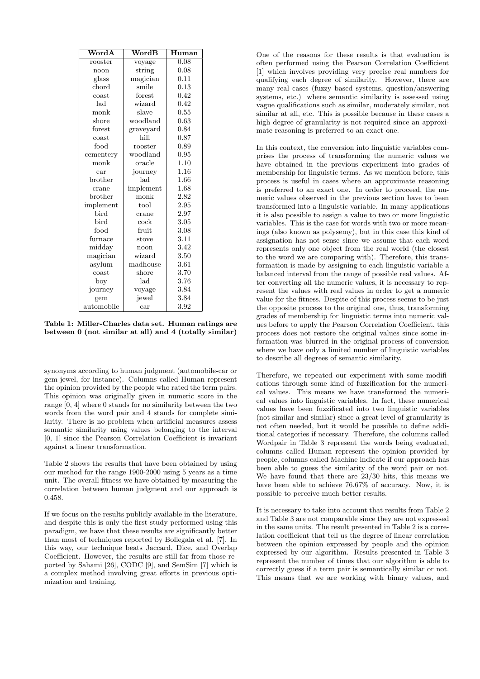| $\overline{\text{WordA}}$ | $\overline{\text{WordB}}$ | Human |
|---------------------------|---------------------------|-------|
| rooster                   | voyage                    | 0.08  |
| noon                      | string                    | 0.08  |
| glass                     | magician                  | 0.11  |
| chord                     | smile                     | 0.13  |
| coast                     | forest                    | 0.42  |
| lad                       | wizard                    | 0.42  |
| monk                      | slave                     | 0.55  |
| shore                     | woodland                  | 0.63  |
| forest                    | graveyard                 | 0.84  |
| coast                     | hill                      | 0.87  |
| food                      | rooster                   | 0.89  |
| cementery                 | woodland                  | 0.95  |
| monk                      | oracle                    | 1.10  |
| car                       | journey                   | 1.16  |
| brother                   | lad                       | 1.66  |
| crane                     | implement                 | 1.68  |
| brother                   | monk                      | 2.82  |
| implement                 | tool                      | 2.95  |
| bird                      | crane                     | 2.97  |
| bird                      | $\mathrm{cock}$           | 3.05  |
| food                      | fruit                     | 3.08  |
| furnace                   | stove                     | 3.11  |
| midday                    | noon                      | 3.42  |
| magician                  | wizard                    | 3.50  |
| asylum                    | madhouse                  | 3.61  |
| coast                     | shore                     | 3.70  |
| boy                       | lad                       | 3.76  |
| journey                   | voyage                    | 3.84  |
| gem                       | jewel                     | 3.84  |
| automobile                | car                       | 3.92  |

Table 1: Miller-Charles data set. Human ratings are between 0 (not similar at all) and 4 (totally similar)

synonyms according to human judgment (automobile-car or gem-jewel, for instance). Columns called Human represent the opinion provided by the people who rated the term pairs. This opinion was originally given in numeric score in the range [0, 4] where 0 stands for no similarity between the two words from the word pair and 4 stands for complete similarity. There is no problem when artificial measures assess semantic similarity using values belonging to the interval [0, 1] since the Pearson Correlation Coefficient is invariant against a linear transformation.

Table 2 shows the results that have been obtained by using our method for the range 1900-2000 using 5 years as a time unit. The overall fitness we have obtained by measuring the correlation between human judgment and our approach is 0.458.

If we focus on the results publicly available in the literature, and despite this is only the first study performed using this paradigm, we have that these results are significantly better than most of techniques reported by Bollegala et al. [7]. In this way, our technique beats Jaccard, Dice, and Overlap Coefficient. However, the results are still far from those reported by Sahami [26], CODC [9], and SemSim [7] which is a complex method involving great efforts in previous optimization and training.

One of the reasons for these results is that evaluation is often performed using the Pearson Correlation Coefficient [1] which involves providing very precise real numbers for qualifying each degree of similarity. However, there are many real cases (fuzzy based systems, question/answering systems, etc.) where semantic similarity is assessed using vague qualifications such as similar, moderately similar, not similar at all, etc. This is possible because in these cases a high degree of granularity is not required since an approximate reasoning is preferred to an exact one.

In this context, the conversion into linguistic variables comprises the process of transforming the numeric values we have obtained in the previous experiment into grades of membership for linguistic terms. As we mention before, this process is useful in cases where an approximate reasoning is preferred to an exact one. In order to proceed, the numeric values observed in the previous section have to been transformed into a linguistic variable. In many applications it is also possible to assign a value to two or more linguistic variables. This is the case for words with two or more meanings (also known as polysemy), but in this case this kind of assignation has not sense since we assume that each word represents only one object from the real world (the closest to the word we are comparing with). Therefore, this transformation is made by assigning to each linguistic variable a balanced interval from the range of possible real values. After converting all the numeric values, it is necessary to represent the values with real values in order to get a numeric value for the fitness. Despite of this process seems to be just the opposite process to the original one, thus, transforming grades of membership for linguistic terms into numeric values before to apply the Pearson Correlation Coefficient, this process does not restore the original values since some information was blurred in the original process of conversion where we have only a limited number of linguistic variables to describe all degrees of semantic similarity.

Therefore, we repeated our experiment with some modifications through some kind of fuzzification for the numerical values. This means we have transformed the numerical values into linguistic variables. In fact, these numerical values have been fuzzificated into two linguistic variables (not similar and similar) since a great level of granularity is not often needed, but it would be possible to define additional categories if necessary. Therefore, the columns called Wordpair in Table 3 represent the words being evaluated, columns called Human represent the opinion provided by people, columns called Machine indicate if our approach has been able to guess the similarity of the word pair or not. We have found that there are 23/30 hits, this means we have been able to achieve  $76.67\%$  of accuracy. Now, it is possible to perceive much better results.

It is necessary to take into account that results from Table 2 and Table 3 are not comparable since they are not expressed in the same units. The result presented in Table 2 is a correlation coefficient that tell us the degree of linear correlation between the opinion expressed by people and the opinion expressed by our algorithm. Results presented in Table 3 represent the number of times that our algorithm is able to correctly guess if a term pair is semantically similar or not. This means that we are working with binary values, and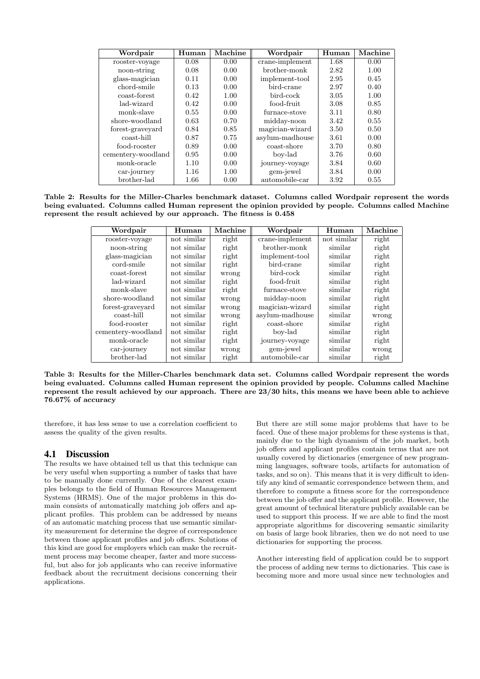| Wordpair           | Human | Machine | Wordpair        | Human | Machine |
|--------------------|-------|---------|-----------------|-------|---------|
| rooster-voyage     | 0.08  | 0.00    | crane-implement | 1.68  | 0.00    |
| noon-string        | 0.08  | 0.00    | brother-monk    | 2.82  | 1.00    |
| glass-magician     | 0.11  | 0.00    | implement-tool  | 2.95  | 0.45    |
| chord-smile        | 0.13  | 0.00    | bird-crane      | 2.97  | 0.40    |
| coast-forest       | 0.42  | 1.00    | bird-cock       | 3.05  | 1.00    |
| lad-wizard         | 0.42  | 0.00    | food-fruit      | 3.08  | 0.85    |
| monk-slave         | 0.55  | 0.00    | furnace-stove   | 3.11  | 0.80    |
| shore-woodland     | 0.63  | 0.70    | midday-noon     | 3.42  | 0.55    |
| forest-graveyard   | 0.84  | 0.85    | magician-wizard | 3.50  | 0.50    |
| coast-hill         | 0.87  | 0.75    | asylum-madhouse | 3.61  | 0.00    |
| food-rooster       | 0.89  | 0.00    | coast-shore     | 3.70  | 0.80    |
| cementery-woodland | 0.95  | 0.00    | boy-lad         | 3.76  | 0.60    |
| monk-oracle        | 1.10  | 0.00    | journey-voyage  | 3.84  | 0.60    |
| car-journey        | 1.16  | 1.00    | gem-jewel       | 3.84  | 0.00    |
| brother-lad        | 1.66  | 0.00    | automobile-car  | 3.92  | 0.55    |

Table 2: Results for the Miller-Charles benchmark dataset. Columns called Wordpair represent the words being evaluated. Columns called Human represent the opinion provided by people. Columns called Machine represent the result achieved by our approach. The fitness is 0.458

| Wordpair           | Human       | Machine | Wordpair        | Human       | Machine |
|--------------------|-------------|---------|-----------------|-------------|---------|
| rooster-voyage     | not similar | right   | crane-implement | not similar | right   |
| noon-string        | not similar | right   | brother-monk    | similar     | right   |
| glass-magician     | not similar | right   | implement-tool  | similar     | right   |
| cord-smile         | not similar | right   | bird-crane      | similar     | right   |
| coast-forest       | not similar | wrong   | bird-cock       | similar     | right   |
| lad-wizard         | not similar | right   | food-fruit      | similar     | right   |
| monk-slave         | not similar | right   | furnace-stove   | similar     | right   |
| shore-woodland     | not similar | wrong   | midday-noon     | similar     | right   |
| forest-graveyard   | not similar | wrong   | magician-wizard | similar     | right   |
| coast-hill         | not similar | wrong   | asylum-madhouse | similar     | wrong   |
| food-rooster       | not similar | right   | coast-shore     | similar     | right   |
| cementery-woodland | not similar | right   | boy-lad         | similar     | right   |
| monk-oracle        | not similar | right   | journey-voyage  | similar     | right   |
| car-journey        | not similar | wrong   | gem-jewel       | similar     | wrong   |
| brother-lad        | not similar | right   | automobile-car  | similar     | right   |

Table 3: Results for the Miller-Charles benchmark data set. Columns called Wordpair represent the words being evaluated. Columns called Human represent the opinion provided by people. Columns called Machine represent the result achieved by our approach. There are 23/30 hits, this means we have been able to achieve 76.67% of accuracy

therefore, it has less sense to use a correlation coefficient to assess the quality of the given results.

### 4.1 Discussion

The results we have obtained tell us that this technique can be very useful when supporting a number of tasks that have to be manually done currently. One of the clearest examples belongs to the field of Human Resources Management Systems (HRMS). One of the major problems in this domain consists of automatically matching job offers and applicant profiles. This problem can be addressed by means of an automatic matching process that use semantic similarity measurement for determine the degree of correspondence between those applicant profiles and job offers. Solutions of this kind are good for employers which can make the recruitment process may become cheaper, faster and more successful, but also for job applicants who can receive informative feedback about the recruitment decisions concerning their applications.

But there are still some major problems that have to be faced. One of these major problems for these systems is that, mainly due to the high dynamism of the job market, both job offers and applicant profiles contain terms that are not usually covered by dictionaries (emergence of new programming languages, software tools, artifacts for automation of tasks, and so on). This means that it is very difficult to identify any kind of semantic correspondence between them, and therefore to compute a fitness score for the correspondence between the job offer and the applicant profile. However, the great amount of technical literature publicly available can be used to support this process. If we are able to find the most appropriate algorithms for discovering semantic similarity on basis of large book libraries, then we do not need to use dictionaries for supporting the process.

Another interesting field of application could be to support the process of adding new terms to dictionaries. This case is becoming more and more usual since new technologies and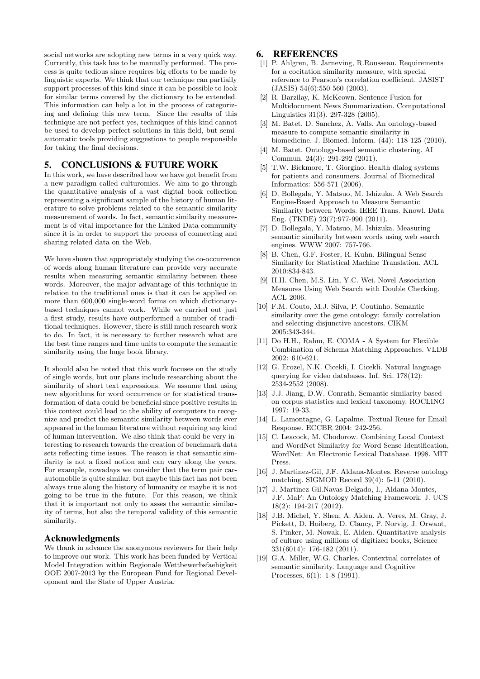social networks are adopting new terms in a very quick way. Currently, this task has to be manually performed. The process is quite tedious since requires big efforts to be made by linguistic experts. We think that our technique can partially support processes of this kind since it can be possible to look for similar terms covered by the dictionary to be extended. This information can help a lot in the process of categorizing and defining this new term. Since the results of this technique are not perfect yes, techniques of this kind cannot be used to develop perfect solutions in this field, but semiautomatic tools providing suggestions to people responsible for taking the final decisions.

## 5. CONCLUSIONS & FUTURE WORK

In this work, we have described how we have got benefit from a new paradigm called culturomics. We aim to go through the quantitative analysis of a vast digital book collection representing a significant sample of the history of human literature to solve problems related to the semantic similarity measurement of words. In fact, semantic similarity measurement is of vital importance for the Linked Data community since it is in order to support the process of connecting and sharing related data on the Web.

We have shown that appropriately studying the co-occurrence of words along human literature can provide very accurate results when measuring semantic similarity between these words. Moreover, the major advantage of this technique in relation to the traditional ones is that it can be applied on more than 600,000 single-word forms on which dictionarybased techniques cannot work. While we carried out just a first study, results have outperformed a number of traditional techniques. However, there is still much research work to do. In fact, it is necessary to further research what are the best time ranges and time units to compute the semantic similarity using the huge book library.

It should also be noted that this work focuses on the study of single words, but our plans include researching about the similarity of short text expressions. We assume that using new algorithms for word occurrence or for statistical transformation of data could be beneficial since positive results in this context could lead to the ability of computers to recognize and predict the semantic similarity between words ever appeared in the human literature without requiring any kind of human intervention. We also think that could be very interesting to research towards the creation of benchmark data sets reflecting time issues. The reason is that semantic similarity is not a fixed notion and can vary along the years. For example, nowadays we consider that the term pair carautomobile is quite similar, but maybe this fact has not been always true along the history of humanity or maybe it is not going to be true in the future. For this reason, we think that it is important not only to asses the semantic similarity of terms, but also the temporal validity of this semantic similarity.

#### Acknowledgments

We thank in advance the anonymous reviewers for their help to improve our work. This work has been funded by Vertical Model Integration within Regionale Wettbewerbsfaehigkeit OOE 2007-2013 by the European Fund for Regional Development and the State of Upper Austria.

#### 6. REFERENCES

- [1] P. Ahlgren, B. Jarneving, R.Rousseau. Requirements for a cocitation similarity measure, with special reference to Pearson's correlation coefficient. JASIST (JASIS) 54(6):550-560 (2003).
- [2] R. Barzilay, K. McKeown. Sentence Fusion for Multidocument News Summarization. Computational Linguistics 31(3). 297-328 (2005).
- [3] M. Batet, D. Sanchez, A. Valls. An ontology-based measure to compute semantic similarity in biomedicine. J. Biomed. Inform. (44): 118-125 (2010).
- [4] M. Batet. Ontology-based semantic clustering. AI Commun. 24(3): 291-292 (2011).
- [5] T.W. Bickmore, T. Giorgino. Health dialog systems for patients and consumers. Journal of Biomedical Informatics: 556-571 (2006).
- [6] D. Bollegala, Y. Matsuo, M. Ishizuka. A Web Search Engine-Based Approach to Measure Semantic Similarity between Words. IEEE Trans. Knowl. Data Eng. (TKDE) 23(7):977-990 (2011).
- [7] D. Bollegala, Y. Matsuo, M. Ishizuka. Measuring semantic similarity between words using web search engines. WWW 2007: 757-766.
- [8] B. Chen, G.F. Foster, R. Kuhn. Bilingual Sense Similarity for Statistical Machine Translation. ACL 2010:834-843.
- [9] H.H. Chen, M.S. Lin, Y.C. Wei. Novel Association Measures Using Web Search with Double Checking. ACL 2006.
- [10] F.M. Couto, M.J. Silva, P. Coutinho. Semantic similarity over the gene ontology: family correlation and selecting disjunctive ancestors. CIKM 2005:343-344.
- [11] Do H.H., Rahm, E. COMA A System for Flexible Combination of Schema Matching Approaches. VLDB 2002: 610-621.
- [12] G. Erozel, N.K. Cicekli, I. Cicekli. Natural language querying for video databases. Inf. Sci. 178(12): 2534-2552 (2008).
- [13] J.J. Jiang, D.W. Conrath. Semantic similarity based on corpus statistics and lexical taxonomy. ROCLING 1997: 19-33.
- [14] L. Lamontagne, G. Lapalme. Textual Reuse for Email Response. ECCBR 2004: 242-256.
- [15] C. Leacock, M. Chodorow. Combining Local Context and WordNet Similarity for Word Sense Identification, WordNet: An Electronic Lexical Database. 1998. MIT Press.
- [16] J. Martinez-Gil, J.F. Aldana-Montes. Reverse ontology matching. SIGMOD Record 39(4): 5-11 (2010).
- [17] J. Martinez-Gil.Navas-Delgado, I., Aldana-Montes, J.F. MaF: An Ontology Matching Framework. J. UCS 18(2): 194-217 (2012).
- [18] J.B. Michel, Y. Shen, A. Aiden, A. Veres, M. Gray, J. Pickett, D. Hoiberg, D. Clancy, P. Norvig, J. Orwant, S. Pinker, M. Nowak, E. Aiden. Quantitative analysis of culture using millions of digitized books, Science 331(6014): 176-182 (2011).
- [19] G.A. Miller, W.G. Charles. Contextual correlates of semantic similarity. Language and Cognitive Processes, 6(1): 1-8 (1991).